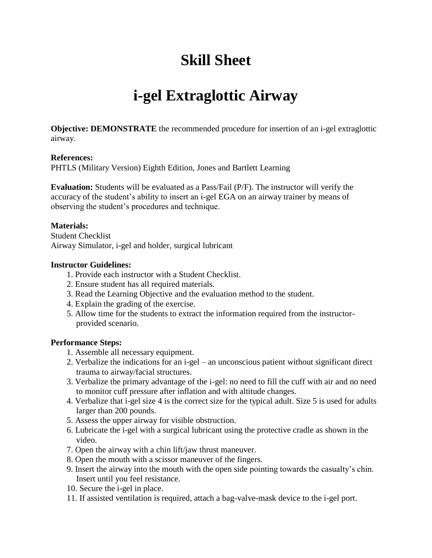# **Skill Sheet**

## **i-gel Extraglottic Airway**

**Objective: DEMONSTRATE** the recommended procedure for insertion of an i-gel extraglottic airway.

#### **References:**

PHTLS (Military Version) Eighth Edition, Jones and Bartlett Learning

**Evaluation:** Students will be evaluated as a Pass/Fail (P/F). The instructor will verify the accuracy of the student's ability to insert an i-gel EGA on an airway trainer by means of observing the student's procedures and technique.

#### **Materials:**

Student Checklist Airway Simulator, i-gel and holder, surgical lubricant

#### **Instructor Guidelines:**

- 1. Provide each instructor with a Student Checklist.
- 2. Ensure student has all required materials.
- 3. Read the Learning Objective and the evaluation method to the student.
- 4. Explain the grading of the exercise.
- 5. Allow time for the students to extract the information required from the instructorprovided scenario.

#### **Performance Steps:**

- 1. Assemble all necessary equipment.
- 2. Verbalize the indications for an i-gel an unconscious patient without significant direct trauma to airway/facial structures.
- 3. Verbalize the primary advantage of the i-gel: no need to fill the cuff with air and no need to monitor cuff pressure after inflation and with altitude changes.
- 4. Verbalize that i-gel size 4 is the correct size for the typical adult. Size 5 is used for adults larger than 200 pounds.
- 5. Assess the upper airway for visible obstruction.
- 6. Lubricate the i-gel with a surgical lubricant using the protective cradle as shown in the video.
- 7. Open the airway with a chin lift/jaw thrust maneuver.
- 8. Open the mouth with a scissor maneuver of the fingers.
- 9. Insert the airway into the mouth with the open side pointing towards the casualty's chin. Insert until you feel resistance.
- 10. Secure the i-gel in place.
- 11. If assisted ventilation is required, attach a bag-valve-mask device to the i-gel port.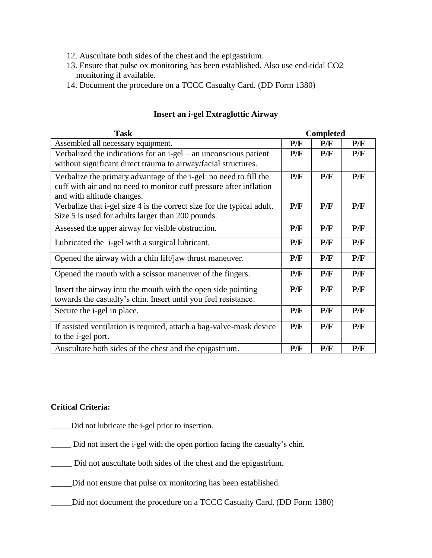- 12. Auscultate both sides of the chest and the epigastrium.
- 13. Ensure that pulse ox monitoring has been established. Also use end-tidal CO2 monitoring if available.
- 14. Document the procedure on a TCCC Casualty Card. (DD Form 1380)

| <b>Task</b>                                                                                                                                                                   | <b>Completed</b> |     |     |
|-------------------------------------------------------------------------------------------------------------------------------------------------------------------------------|------------------|-----|-----|
| Assembled all necessary equipment.                                                                                                                                            | P/F              | P/F | P/F |
| Verbalized the indications for an i-gel - an unconscious patient<br>without significant direct trauma to airway/facial structures.                                            | P/F              | P/F | P/F |
| Verbalize the primary advantage of the <i>i</i> -gel: no need to fill the<br>cuff with air and no need to monitor cuff pressure after inflation<br>and with altitude changes. | P/F              | P/F | P/F |
| Verbalize that i-gel size 4 is the correct size for the typical adult.<br>Size 5 is used for adults larger than 200 pounds.                                                   | P/F              | P/F | P/F |
| Assessed the upper airway for visible obstruction.                                                                                                                            | P/F              | P/F | P/F |
| Lubricated the <i>i-gel</i> with a surgical lubricant.                                                                                                                        | P/F              | P/F | P/F |
| Opened the airway with a chin lift/jaw thrust maneuver.                                                                                                                       | P/F              | P/F | P/F |
| Opened the mouth with a scissor maneuver of the fingers.                                                                                                                      | P/F              | P/F | P/F |
| Insert the airway into the mouth with the open side pointing<br>towards the casualty's chin. Insert until you feel resistance.                                                | P/F              | P/F | P/F |
| Secure the <i>i</i> -gel in place.                                                                                                                                            | P/F              | P/F | P/F |
| If assisted ventilation is required, attach a bag-valve-mask device<br>to the <i>i</i> -gel port.                                                                             | P/F              | P/F | P/F |
| Auscultate both sides of the chest and the epigastrium.                                                                                                                       | P/F              | P/F | P/F |

#### **Insert an i-gel Extraglottic Airway**

### **Critical Criteria:**

- \_\_\_\_\_Did not lubricate the i-gel prior to insertion.
- \_\_\_\_\_ Did not insert the i-gel with the open portion facing the casualty's chin.
- \_\_\_\_\_ Did not auscultate both sides of the chest and the epigastrium.
- \_\_\_\_\_Did not ensure that pulse ox monitoring has been established.
- \_\_\_\_\_Did not document the procedure on a TCCC Casualty Card. (DD Form 1380)